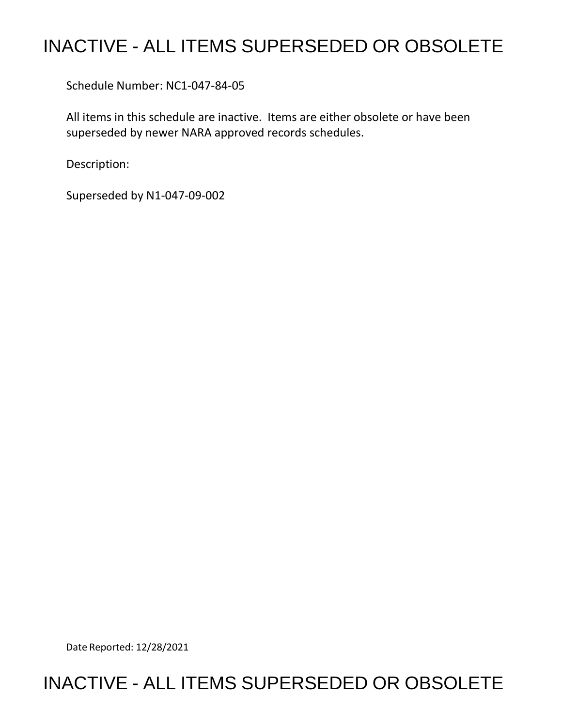## INACTIVE - ALL ITEMS SUPERSEDED OR OBSOLETE

Schedule Number: NC1-047-84-05

 All items in this schedule are inactive. Items are either obsolete or have been superseded by newer NARA approved records schedules.

Description:

Superseded by N1-047-09-002

Date Reported: 12/28/2021

## INACTIVE - ALL ITEMS SUPERSEDED OR OBSOLETE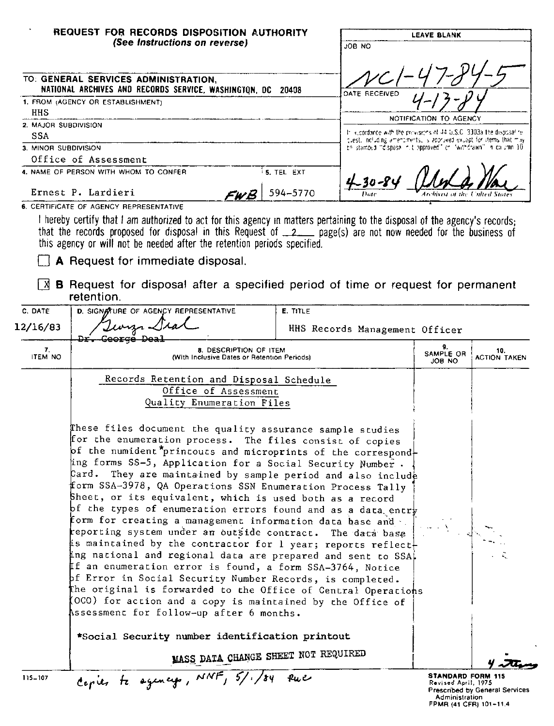|                                          | REQUEST FOR RECORDS DISPOSITION AUTHORITY<br>(See Instructions on reverse)                                                                                                                                                                                                                                                                                                                                                                                                                                                                                                                                                                                                                                                                                                                                                                                                                                                                                                                                                                                                                             |                                |                                                                                                                                           | ON BOL                                                         | <b>LEAVE BLANK</b>                                                                       |  |
|------------------------------------------|--------------------------------------------------------------------------------------------------------------------------------------------------------------------------------------------------------------------------------------------------------------------------------------------------------------------------------------------------------------------------------------------------------------------------------------------------------------------------------------------------------------------------------------------------------------------------------------------------------------------------------------------------------------------------------------------------------------------------------------------------------------------------------------------------------------------------------------------------------------------------------------------------------------------------------------------------------------------------------------------------------------------------------------------------------------------------------------------------------|--------------------------------|-------------------------------------------------------------------------------------------------------------------------------------------|----------------------------------------------------------------|------------------------------------------------------------------------------------------|--|
|                                          |                                                                                                                                                                                                                                                                                                                                                                                                                                                                                                                                                                                                                                                                                                                                                                                                                                                                                                                                                                                                                                                                                                        |                                |                                                                                                                                           |                                                                |                                                                                          |  |
|                                          | TO: GENERAL SERVICES ADMINISTRATION,                                                                                                                                                                                                                                                                                                                                                                                                                                                                                                                                                                                                                                                                                                                                                                                                                                                                                                                                                                                                                                                                   |                                |                                                                                                                                           |                                                                |                                                                                          |  |
|                                          | NATIONAL ARCHIVES AND RECORDS SERVICE, WASHINGTON, DC 20408                                                                                                                                                                                                                                                                                                                                                                                                                                                                                                                                                                                                                                                                                                                                                                                                                                                                                                                                                                                                                                            |                                |                                                                                                                                           | DATE RECEIVED                                                  |                                                                                          |  |
| 1. FROM (AGENCY OR ESTABLISHMENT)<br>HHS |                                                                                                                                                                                                                                                                                                                                                                                                                                                                                                                                                                                                                                                                                                                                                                                                                                                                                                                                                                                                                                                                                                        |                                |                                                                                                                                           |                                                                |                                                                                          |  |
| 2. MAJOR SUBDIVISION                     |                                                                                                                                                                                                                                                                                                                                                                                                                                                                                                                                                                                                                                                                                                                                                                                                                                                                                                                                                                                                                                                                                                        |                                | NOTIFICATION TO AGENCY                                                                                                                    |                                                                |                                                                                          |  |
| SSA                                      |                                                                                                                                                                                                                                                                                                                                                                                                                                                                                                                                                                                                                                                                                                                                                                                                                                                                                                                                                                                                                                                                                                        |                                | In accordance with the provisions of 44 U.S.C. 3303a the disposal re-<br>glest, notiong amendments, is approved except for items that muy |                                                                |                                                                                          |  |
| 3. MINOR SUBDIVISION                     |                                                                                                                                                                                                                                                                                                                                                                                                                                                                                                                                                                                                                                                                                                                                                                                                                                                                                                                                                                                                                                                                                                        |                                |                                                                                                                                           | be stamped "disposal rut spproved" or "withdrawn" in calumn 10 |                                                                                          |  |
|                                          | Office of Assessment                                                                                                                                                                                                                                                                                                                                                                                                                                                                                                                                                                                                                                                                                                                                                                                                                                                                                                                                                                                                                                                                                   |                                |                                                                                                                                           |                                                                |                                                                                          |  |
|                                          | 4. NAME OF PERSON WITH WHOM TO CONFER                                                                                                                                                                                                                                                                                                                                                                                                                                                                                                                                                                                                                                                                                                                                                                                                                                                                                                                                                                                                                                                                  | $^{\mathfrak i}$ 5. TEL EXT    |                                                                                                                                           | $4 - 30 - 84$                                                  |                                                                                          |  |
|                                          | Ernest P. Lardieri<br>6. CERTIFICATE OF AGENCY REPRESENTATIVE                                                                                                                                                                                                                                                                                                                                                                                                                                                                                                                                                                                                                                                                                                                                                                                                                                                                                                                                                                                                                                          |                                | 594-5770                                                                                                                                  |                                                                |                                                                                          |  |
|                                          | I hereby certify that I am authorized to act for this agency in matters pertaining to the disposal of the agency's records;<br>that the records proposed for disposal in this Request of 2__ page(s) are not now needed for the business of<br>this agency or will not be needed after the retention periods specified.<br>A Request for immediate disposal.                                                                                                                                                                                                                                                                                                                                                                                                                                                                                                                                                                                                                                                                                                                                           |                                |                                                                                                                                           |                                                                |                                                                                          |  |
| X                                        | <b>B</b> Request for disposal after a specified period of time or request for permanent<br>retention.                                                                                                                                                                                                                                                                                                                                                                                                                                                                                                                                                                                                                                                                                                                                                                                                                                                                                                                                                                                                  |                                |                                                                                                                                           |                                                                |                                                                                          |  |
| C. DATE                                  | D. SIGNOTURE OF AGENCY REPRESENTATIVE<br>E. TITLE                                                                                                                                                                                                                                                                                                                                                                                                                                                                                                                                                                                                                                                                                                                                                                                                                                                                                                                                                                                                                                                      |                                |                                                                                                                                           |                                                                |                                                                                          |  |
| 12/16/83                                 | Jeongs Dia<br><del>Dr. Ceorge De</del>                                                                                                                                                                                                                                                                                                                                                                                                                                                                                                                                                                                                                                                                                                                                                                                                                                                                                                                                                                                                                                                                 | HHS Records Management Officer |                                                                                                                                           |                                                                |                                                                                          |  |
| 7.<br><b>ITEM NO</b>                     | 8. DESCRIPTION OF ITEM<br>(With Inclusive Dates or Retention Periods)                                                                                                                                                                                                                                                                                                                                                                                                                                                                                                                                                                                                                                                                                                                                                                                                                                                                                                                                                                                                                                  |                                |                                                                                                                                           | 9.<br>SAMPLE OR<br>JOB NO.                                     | 10.<br><b>ACTION TAKEN</b>                                                               |  |
|                                          | Records Retention and Disposal Schedule                                                                                                                                                                                                                                                                                                                                                                                                                                                                                                                                                                                                                                                                                                                                                                                                                                                                                                                                                                                                                                                                |                                |                                                                                                                                           |                                                                |                                                                                          |  |
|                                          | Office of Assessment<br>Quality Enumeration Files                                                                                                                                                                                                                                                                                                                                                                                                                                                                                                                                                                                                                                                                                                                                                                                                                                                                                                                                                                                                                                                      |                                |                                                                                                                                           |                                                                |                                                                                          |  |
|                                          | These files document the quality assurance sample studies<br>for the enumeration process. The files consist of copies<br>of the numident princouts and microprints of the correspond-<br>ing forms SS-5, Application for a Social Security Number.<br>Card.<br>They are maintained by sample period and also include<br>form SSA-3978, QA Operations SSN Enumeration Process Tally<br>Sheet, or its equivalent, which is used both as a record<br>$\mathsf{bf}$ the types of enumeration errors found and as a data entr $\mathsf{\psi}$<br>form for creating a management information data base and<br>reporting system under an outside contract. The data base<br>is maintained by the contractor for 1 year; reports reflect-<br>ing national and regional data are prepared and sent to SSA.<br>If an enumeration error is found, a form SSA-3764, Notice<br>bf Error in Social Security Number Records, is completed.<br>The original is forwarded to the Office of Central Operations<br>(OCO) for action and a copy is maintained by the Office of<br>Assessment for follow-up after 6 months. |                                |                                                                                                                                           |                                                                |                                                                                          |  |
|                                          | *Social Security number identification printout                                                                                                                                                                                                                                                                                                                                                                                                                                                                                                                                                                                                                                                                                                                                                                                                                                                                                                                                                                                                                                                        |                                |                                                                                                                                           |                                                                |                                                                                          |  |
|                                          | MASS DATA CHANGE SHEET NOT REQUIRED                                                                                                                                                                                                                                                                                                                                                                                                                                                                                                                                                                                                                                                                                                                                                                                                                                                                                                                                                                                                                                                                    |                                |                                                                                                                                           |                                                                |                                                                                          |  |
| 115-107                                  | Cepies to agency, NNF, 5/1/84 Rue                                                                                                                                                                                                                                                                                                                                                                                                                                                                                                                                                                                                                                                                                                                                                                                                                                                                                                                                                                                                                                                                      |                                |                                                                                                                                           |                                                                | <b>STANDARD FORM 115</b><br>Revised April, 1975<br><b>Prescribed by General Services</b> |  |

**STANDARD FORM 115**<br>Revised April, 1975<br>Prescribed by General Services<br>Administration<br>FPMR (41 CFR) 101-11.4

115-107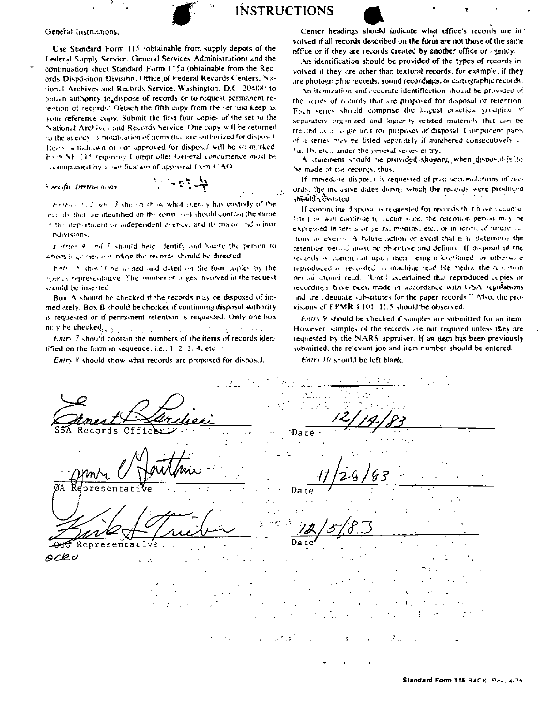

**INSTRUCTIONS** 

## General Instructions:

Use Standard Form 115 (obtainable from supply depots of the Federal Supply Service. General Services Administration) and the continuation sheet Standard Form 115a (obtainable from the Records Disposition Division. Office of Federal Records Centers. National Archives and Records Service, Washington, D.C. 20408) to obtain authority to dispose of records or to request permanent retention of records. Detach the fifth copy from the set and keep as your reference copy. Submit the first four copies of the set to the National Archives and Records Service. One copy will be returned to the agency iss notification of items that are authorized for disposit. Items withdrawn or not approved for disposal will be so marked Evon SE (15 requirement Comptroller General concurrence must be ccompanied by a netification of approval from CAO

Soecific Instructions

Entrary 1, 2, and 3 should show what evency has custody of the rease ifs that ore identified on the form ones should contract the name 1.3h) department or independent arenew, and its major and minor subdivisions.

 $4.27 -$ 

t dries 4 and 5 should help shentify and locate the person to whom involvies semanting the records should be directed

Firth A show'd be simped and duted on the four cuples by the there is representative. The mimber of places involved in the request should be inserted

Box A should be checked if the records may be disposed of immediately. Box B should be checked if continuing disposal authority is requested or if permanent retention is requested. Only one box may be checked,  $\frac{1}{2}$  ,  $\frac{1}{2}$  ,  $\frac{1}{2}$  ,  $\frac{1}{2}$  $\Delta \sim 10^{11}$  M  $_{\odot}$  $\mathcal{L}=\mathcal{L}^{(1)}$ 

*Entry* 7 should contain the numbers of the items of records identified on the form in sequence, i.e.,  $1, 2, 3, 4$ , etc.

Entry 8 should show what records are proposed for disposal.

Center headings should indicate what office's records are involved if all records described on the form are not those of the same office or if they are records created by another office or agency.

An identification should be provided of the types of records involved if they are other than textural records, for example, if they are photographic records, sound recordings, or cartographic records.

An itemization and eccurate identification should be provided of the series of records that are proposed for disposal or retention Fach series should comprise the Lagest practical grouping of separately organized and logicz-ry related materials that can be treated as a single unit for purposes of disposal. Component parts of a series play be listed separately if numbered consecutively a 'a, 1b, etc., under the general senes entry.

A statement should be provided showing when disposal is to be made of the records, thus,

If immediate disposal is requested of past accumulations of records, the inclusive dates doring which the records were produced should be stated

If continuing disposal is requested for records that have sucuritalate the wall continue to secure suite, the retention period may be expressed in terms of years, months, etc., or in terms of turure is dons to even > A future action or event that is an determine the retention veried most be objective and definite. If disposal of the records is contingent upon their being micrefilmed or otherwise reproduced or recorded in machine read hie media, the relation becaus should read. 'Until ascertained that reproduced copies or recordings have been made in accordance with GSA regulations and are edequate substitutes for the paper records." Also, the provisions of FPMR § 101-11.5 should be observed.

Entry 9 should be checked if samples are submitted for an item. However, samples of the records are not required unless they are requested by the NARS appraiser. If an nem has been previously submitted, the relevant job and item number should be entered.

Entry 10 should be left blank.

Records Off Dare resenrar Date Date Representativ e OCRU

Standard Form 115 BACK Pass 4-75